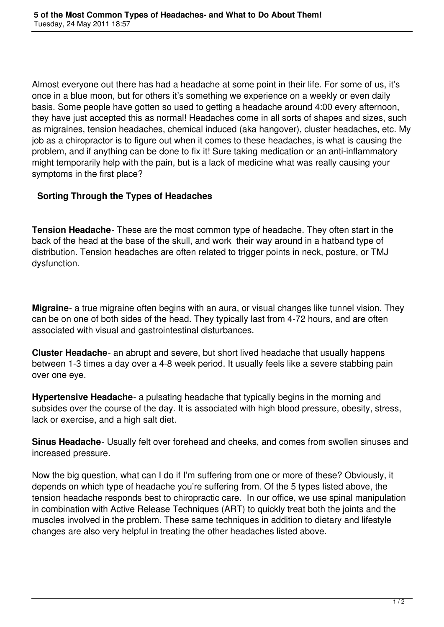Almost everyone out there has had a headache at some point in their life. For some of us, it's once in a blue moon, but for others it's something we experience on a weekly or even daily basis. Some people have gotten so used to getting a headache around 4:00 every afternoon, they have just accepted this as normal! Headaches come in all sorts of shapes and sizes, such as migraines, tension headaches, chemical induced (aka hangover), cluster headaches, etc. My job as a chiropractor is to figure out when it comes to these headaches, is what is causing the problem, and if anything can be done to fix it! Sure taking medication or an anti-inflammatory might temporarily help with the pain, but is a lack of medicine what was really causing your symptoms in the first place?

## **Sorting Through the Types of Headaches**

**Tension Headache**- These are the most common type of headache. They often start in the back of the head at the base of the skull, and work their way around in a hatband type of distribution. Tension headaches are often related to trigger points in neck, posture, or TMJ dysfunction.

**Migraine**- a true migraine often begins with an aura, or visual changes like tunnel vision. They can be on one of both sides of the head. They typically last from 4-72 hours, and are often associated with visual and gastrointestinal disturbances.

**Cluster Headache**- an abrupt and severe, but short lived headache that usually happens between 1-3 times a day over a 4-8 week period. It usually feels like a severe stabbing pain over one eye.

**Hypertensive Headache**- a pulsating headache that typically begins in the morning and subsides over the course of the day. It is associated with high blood pressure, obesity, stress, lack or exercise, and a high salt diet.

**Sinus Headache**- Usually felt over forehead and cheeks, and comes from swollen sinuses and increased pressure.

Now the big question, what can I do if I'm suffering from one or more of these? Obviously, it depends on which type of headache you're suffering from. Of the 5 types listed above, the tension headache responds best to chiropractic care. In our office, we use spinal manipulation in combination with Active Release Techniques (ART) to quickly treat both the joints and the muscles involved in the problem. These same techniques in addition to dietary and lifestyle changes are also very helpful in treating the other headaches listed above.